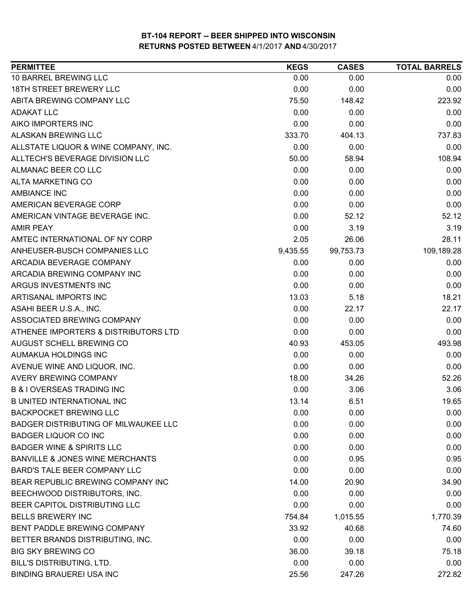| 10 BARREL BREWING LLC<br>0.00<br>0.00<br>18TH STREET BREWERY LLC<br>0.00<br>0.00<br>ABITA BREWING COMPANY LLC<br>75.50<br>148.42<br><b>ADAKAT LLC</b><br>0.00<br>0.00<br>0.00<br>AIKO IMPORTERS INC<br>0.00<br><b>ALASKAN BREWING LLC</b><br>333.70<br>404.13<br>ALLSTATE LIQUOR & WINE COMPANY, INC.<br>0.00<br>0.00<br>ALLTECH'S BEVERAGE DIVISION LLC<br>50.00<br>58.94<br>ALMANAC BEER CO LLC<br>0.00<br>0.00<br><b>ALTA MARKETING CO</b><br>0.00<br>0.00<br><b>AMBIANCE INC</b><br>0.00<br>0.00<br>AMERICAN BEVERAGE CORP<br>0.00<br>0.00<br>0.00<br>AMERICAN VINTAGE BEVERAGE INC.<br>52.12<br>0.00<br>3.19<br><b>AMIR PEAY</b><br>AMTEC INTERNATIONAL OF NY CORP<br>2.05<br>26.06 | <b>TOTAL BARRELS</b> |
|------------------------------------------------------------------------------------------------------------------------------------------------------------------------------------------------------------------------------------------------------------------------------------------------------------------------------------------------------------------------------------------------------------------------------------------------------------------------------------------------------------------------------------------------------------------------------------------------------------------------------------------------------------------------------------------|----------------------|
|                                                                                                                                                                                                                                                                                                                                                                                                                                                                                                                                                                                                                                                                                          | 0.00                 |
|                                                                                                                                                                                                                                                                                                                                                                                                                                                                                                                                                                                                                                                                                          | 0.00                 |
|                                                                                                                                                                                                                                                                                                                                                                                                                                                                                                                                                                                                                                                                                          | 223.92               |
|                                                                                                                                                                                                                                                                                                                                                                                                                                                                                                                                                                                                                                                                                          | 0.00                 |
|                                                                                                                                                                                                                                                                                                                                                                                                                                                                                                                                                                                                                                                                                          | 0.00                 |
|                                                                                                                                                                                                                                                                                                                                                                                                                                                                                                                                                                                                                                                                                          | 737.83               |
|                                                                                                                                                                                                                                                                                                                                                                                                                                                                                                                                                                                                                                                                                          | 0.00                 |
|                                                                                                                                                                                                                                                                                                                                                                                                                                                                                                                                                                                                                                                                                          | 108.94               |
|                                                                                                                                                                                                                                                                                                                                                                                                                                                                                                                                                                                                                                                                                          | 0.00                 |
|                                                                                                                                                                                                                                                                                                                                                                                                                                                                                                                                                                                                                                                                                          | 0.00                 |
|                                                                                                                                                                                                                                                                                                                                                                                                                                                                                                                                                                                                                                                                                          | 0.00                 |
|                                                                                                                                                                                                                                                                                                                                                                                                                                                                                                                                                                                                                                                                                          | 0.00                 |
|                                                                                                                                                                                                                                                                                                                                                                                                                                                                                                                                                                                                                                                                                          | 52.12                |
|                                                                                                                                                                                                                                                                                                                                                                                                                                                                                                                                                                                                                                                                                          | 3.19                 |
|                                                                                                                                                                                                                                                                                                                                                                                                                                                                                                                                                                                                                                                                                          | 28.11                |
| ANHEUSER-BUSCH COMPANIES LLC<br>109,189.28<br>9,435.55<br>99,753.73                                                                                                                                                                                                                                                                                                                                                                                                                                                                                                                                                                                                                      |                      |
| ARCADIA BEVERAGE COMPANY<br>0.00<br>0.00                                                                                                                                                                                                                                                                                                                                                                                                                                                                                                                                                                                                                                                 | 0.00                 |
| ARCADIA BREWING COMPANY INC<br>0.00<br>0.00                                                                                                                                                                                                                                                                                                                                                                                                                                                                                                                                                                                                                                              | 0.00                 |
| ARGUS INVESTMENTS INC<br>0.00<br>0.00                                                                                                                                                                                                                                                                                                                                                                                                                                                                                                                                                                                                                                                    | 0.00                 |
| ARTISANAL IMPORTS INC<br>13.03<br>5.18                                                                                                                                                                                                                                                                                                                                                                                                                                                                                                                                                                                                                                                   | 18.21                |
| ASAHI BEER U.S.A., INC.<br>0.00<br>22.17                                                                                                                                                                                                                                                                                                                                                                                                                                                                                                                                                                                                                                                 | 22.17                |
| 0.00<br>ASSOCIATED BREWING COMPANY<br>0.00                                                                                                                                                                                                                                                                                                                                                                                                                                                                                                                                                                                                                                               | 0.00                 |
| ATHENEE IMPORTERS & DISTRIBUTORS LTD<br>0.00<br>0.00                                                                                                                                                                                                                                                                                                                                                                                                                                                                                                                                                                                                                                     | 0.00                 |
| AUGUST SCHELL BREWING CO<br>453.05<br>40.93                                                                                                                                                                                                                                                                                                                                                                                                                                                                                                                                                                                                                                              | 493.98               |
| AUMAKUA HOLDINGS INC<br>0.00<br>0.00                                                                                                                                                                                                                                                                                                                                                                                                                                                                                                                                                                                                                                                     | 0.00                 |
| 0.00<br>AVENUE WINE AND LIQUOR, INC.<br>0.00                                                                                                                                                                                                                                                                                                                                                                                                                                                                                                                                                                                                                                             | 0.00                 |
| <b>AVERY BREWING COMPANY</b><br>18.00<br>34.26                                                                                                                                                                                                                                                                                                                                                                                                                                                                                                                                                                                                                                           | 52.26                |
| <b>B &amp; I OVERSEAS TRADING INC</b><br>0.00<br>3.06                                                                                                                                                                                                                                                                                                                                                                                                                                                                                                                                                                                                                                    | 3.06                 |
| <b>B UNITED INTERNATIONAL INC</b><br>13.14<br>6.51                                                                                                                                                                                                                                                                                                                                                                                                                                                                                                                                                                                                                                       | 19.65                |
| <b>BACKPOCKET BREWING LLC</b><br>0.00<br>0.00                                                                                                                                                                                                                                                                                                                                                                                                                                                                                                                                                                                                                                            | 0.00                 |
| <b>BADGER DISTRIBUTING OF MILWAUKEE LLC</b><br>0.00<br>0.00                                                                                                                                                                                                                                                                                                                                                                                                                                                                                                                                                                                                                              | 0.00                 |
| 0.00<br>0.00<br><b>BADGER LIQUOR CO INC</b>                                                                                                                                                                                                                                                                                                                                                                                                                                                                                                                                                                                                                                              | 0.00                 |
| <b>BADGER WINE &amp; SPIRITS LLC</b><br>0.00<br>0.00                                                                                                                                                                                                                                                                                                                                                                                                                                                                                                                                                                                                                                     | 0.00                 |
| <b>BANVILLE &amp; JONES WINE MERCHANTS</b><br>0.00<br>0.95                                                                                                                                                                                                                                                                                                                                                                                                                                                                                                                                                                                                                               | 0.95                 |
| BARD'S TALE BEER COMPANY LLC<br>0.00<br>0.00                                                                                                                                                                                                                                                                                                                                                                                                                                                                                                                                                                                                                                             | 0.00                 |
| BEAR REPUBLIC BREWING COMPANY INC<br>14.00<br>20.90                                                                                                                                                                                                                                                                                                                                                                                                                                                                                                                                                                                                                                      | 34.90                |
| 0.00<br>BEECHWOOD DISTRIBUTORS, INC.<br>0.00                                                                                                                                                                                                                                                                                                                                                                                                                                                                                                                                                                                                                                             | 0.00                 |
| BEER CAPITOL DISTRIBUTING LLC<br>0.00<br>0.00                                                                                                                                                                                                                                                                                                                                                                                                                                                                                                                                                                                                                                            | 0.00                 |
| <b>BELLS BREWERY INC</b><br>754.84<br>1,015.55<br>1,770.39                                                                                                                                                                                                                                                                                                                                                                                                                                                                                                                                                                                                                               |                      |
| BENT PADDLE BREWING COMPANY<br>33.92<br>40.68                                                                                                                                                                                                                                                                                                                                                                                                                                                                                                                                                                                                                                            | 74.60                |
| BETTER BRANDS DISTRIBUTING, INC.<br>0.00<br>0.00                                                                                                                                                                                                                                                                                                                                                                                                                                                                                                                                                                                                                                         | 0.00                 |
| <b>BIG SKY BREWING CO</b><br>36.00<br>39.18                                                                                                                                                                                                                                                                                                                                                                                                                                                                                                                                                                                                                                              | 75.18                |
| <b>BILL'S DISTRIBUTING, LTD.</b><br>0.00<br>0.00                                                                                                                                                                                                                                                                                                                                                                                                                                                                                                                                                                                                                                         | 0.00                 |
| <b>BINDING BRAUEREI USA INC</b><br>25.56<br>247.26                                                                                                                                                                                                                                                                                                                                                                                                                                                                                                                                                                                                                                       | 272.82               |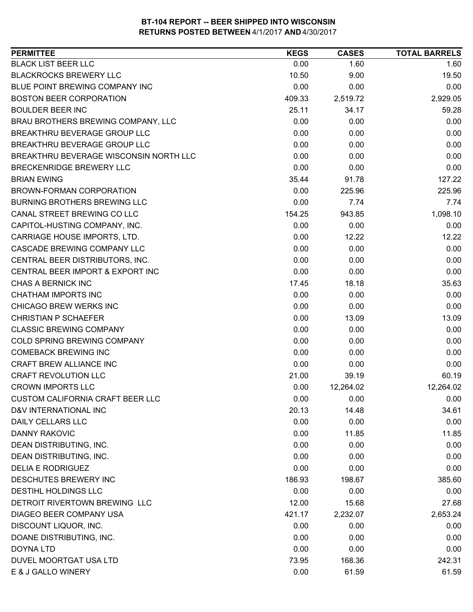| <b>PERMITTEE</b>                        | <b>KEGS</b> | <b>CASES</b> | <b>TOTAL BARRELS</b> |
|-----------------------------------------|-------------|--------------|----------------------|
| <b>BLACK LIST BEER LLC</b>              | 0.00        | 1.60         | 1.60                 |
| <b>BLACKROCKS BREWERY LLC</b>           | 10.50       | 9.00         | 19.50                |
| BLUE POINT BREWING COMPANY INC          | 0.00        | 0.00         | 0.00                 |
| <b>BOSTON BEER CORPORATION</b>          | 409.33      | 2,519.72     | 2,929.05             |
| <b>BOULDER BEER INC</b>                 | 25.11       | 34.17        | 59.28                |
| BRAU BROTHERS BREWING COMPANY, LLC      | 0.00        | 0.00         | 0.00                 |
| BREAKTHRU BEVERAGE GROUP LLC            | 0.00        | 0.00         | 0.00                 |
| BREAKTHRU BEVERAGE GROUP LLC            | 0.00        | 0.00         | 0.00                 |
| BREAKTHRU BEVERAGE WISCONSIN NORTH LLC  | 0.00        | 0.00         | 0.00                 |
| BRECKENRIDGE BREWERY LLC                | 0.00        | 0.00         | 0.00                 |
| <b>BRIAN EWING</b>                      | 35.44       | 91.78        | 127.22               |
| BROWN-FORMAN CORPORATION                | 0.00        | 225.96       | 225.96               |
| <b>BURNING BROTHERS BREWING LLC</b>     | 0.00        | 7.74         | 7.74                 |
| CANAL STREET BREWING CO LLC             | 154.25      | 943.85       | 1,098.10             |
| CAPITOL-HUSTING COMPANY, INC.           | 0.00        | 0.00         | 0.00                 |
| CARRIAGE HOUSE IMPORTS, LTD.            | 0.00        | 12.22        | 12.22                |
| <b>CASCADE BREWING COMPANY LLC</b>      | 0.00        | 0.00         | 0.00                 |
| CENTRAL BEER DISTRIBUTORS, INC.         | 0.00        | 0.00         | 0.00                 |
| CENTRAL BEER IMPORT & EXPORT INC        | 0.00        | 0.00         | 0.00                 |
| CHAS A BERNICK INC                      | 17.45       | 18.18        | 35.63                |
| <b>CHATHAM IMPORTS INC</b>              | 0.00        | 0.00         | 0.00                 |
| CHICAGO BREW WERKS INC                  | 0.00        | 0.00         | 0.00                 |
| <b>CHRISTIAN P SCHAEFER</b>             | 0.00        | 13.09        | 13.09                |
| <b>CLASSIC BREWING COMPANY</b>          | 0.00        | 0.00         | 0.00                 |
| COLD SPRING BREWING COMPANY             | 0.00        | 0.00         | 0.00                 |
| <b>COMEBACK BREWING INC</b>             | 0.00        | 0.00         | 0.00                 |
| <b>CRAFT BREW ALLIANCE INC</b>          | 0.00        | 0.00         | 0.00                 |
| <b>CRAFT REVOLUTION LLC</b>             | 21.00       | 39.19        | 60.19                |
| <b>CROWN IMPORTS LLC</b>                | 0.00        | 12,264.02    | 12,264.02            |
| <b>CUSTOM CALIFORNIA CRAFT BEER LLC</b> | 0.00        | 0.00         | 0.00                 |
| D&V INTERNATIONAL INC                   | 20.13       | 14.48        | 34.61                |
| <b>DAILY CELLARS LLC</b>                | 0.00        | 0.00         | 0.00                 |
| <b>DANNY RAKOVIC</b>                    | 0.00        | 11.85        | 11.85                |
| DEAN DISTRIBUTING, INC.                 | 0.00        | 0.00         | 0.00                 |
| DEAN DISTRIBUTING, INC.                 | 0.00        | 0.00         | 0.00                 |
| <b>DELIA E RODRIGUEZ</b>                | 0.00        | 0.00         | 0.00                 |
| DESCHUTES BREWERY INC                   | 186.93      | 198.67       | 385.60               |
| <b>DESTIHL HOLDINGS LLC</b>             | 0.00        | 0.00         | 0.00                 |
| DETROIT RIVERTOWN BREWING LLC           | 12.00       | 15.68        | 27.68                |
| DIAGEO BEER COMPANY USA                 | 421.17      | 2,232.07     | 2,653.24             |
| DISCOUNT LIQUOR, INC.                   | 0.00        | 0.00         | 0.00                 |
| DOANE DISTRIBUTING, INC.                | 0.00        | 0.00         | 0.00                 |
| <b>DOYNA LTD</b>                        | 0.00        | 0.00         | 0.00                 |
| DUVEL MOORTGAT USA LTD                  | 73.95       | 168.36       | 242.31               |
| E & J GALLO WINERY                      | 0.00        | 61.59        | 61.59                |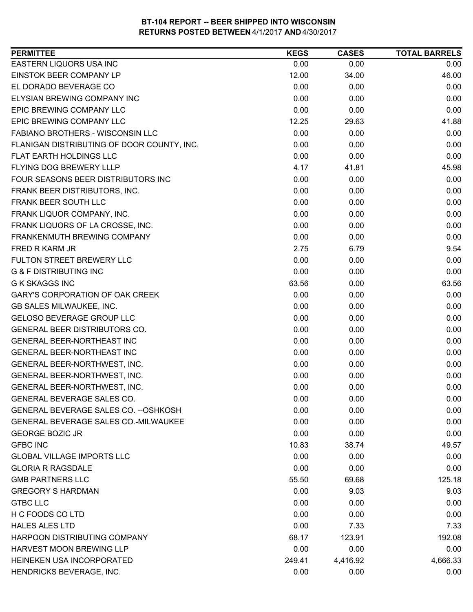| 0.00<br>0.00<br>0.00<br>12.00<br>46.00<br>34.00<br>0.00<br>0.00<br>0.00<br>0.00<br>0.00<br>0.00<br>0.00<br>0.00<br>0.00<br>12.25<br>41.88<br>29.63<br>0.00<br>0.00<br>0.00<br>0.00<br>0.00<br>0.00<br>0.00<br>0.00<br>0.00<br>4.17<br>45.98<br>41.81<br>0.00<br>0.00<br>0.00<br>0.00<br>0.00<br>0.00<br>0.00<br>0.00<br>0.00<br>0.00<br>0.00<br>0.00<br>0.00<br>0.00<br>0.00<br>0.00<br>0.00<br>0.00<br>2.75<br>9.54<br>6.79<br>0.00<br>0.00<br>0.00<br>0.00<br>0.00<br>0.00<br>63.56<br>0.00<br>63.56<br>0.00<br>0.00<br>0.00<br>0.00<br>0.00<br>0.00<br>0.00<br>0.00<br>0.00<br>0.00<br>0.00<br>0.00<br>0.00<br>0.00<br>0.00<br>0.00<br>0.00<br>0.00<br>0.00<br>0.00<br>0.00<br>0.00<br>0.00<br>0.00<br>0.00<br>GENERAL BEER-NORTHWEST, INC.<br>0.00<br>0.00<br>0.00<br>0.00<br>0.00<br>0.00<br>0.00<br>0.00<br>0.00<br>0.00<br>0.00<br>0.00<br>0.00<br>0.00<br>10.83<br>38.74<br>49.57<br>0.00<br>0.00<br>0.00<br>0.00<br>0.00<br>0.00<br>125.18<br>55.50<br>69.68<br>0.00<br>9.03<br>9.03<br>0.00<br>0.00<br>0.00<br>0.00<br>0.00<br>0.00<br>0.00<br>7.33<br>7.33<br>68.17<br>123.91<br>192.08<br>0.00<br>0.00<br>0.00<br>249.41<br>4,416.92<br>4,666.33 | <b>PERMITTEE</b>                           | <b>KEGS</b> | <b>CASES</b> | <b>TOTAL BARRELS</b> |
|--------------------------------------------------------------------------------------------------------------------------------------------------------------------------------------------------------------------------------------------------------------------------------------------------------------------------------------------------------------------------------------------------------------------------------------------------------------------------------------------------------------------------------------------------------------------------------------------------------------------------------------------------------------------------------------------------------------------------------------------------------------------------------------------------------------------------------------------------------------------------------------------------------------------------------------------------------------------------------------------------------------------------------------------------------------------------------------------------------------------------------------------------------------|--------------------------------------------|-------------|--------------|----------------------|
|                                                                                                                                                                                                                                                                                                                                                                                                                                                                                                                                                                                                                                                                                                                                                                                                                                                                                                                                                                                                                                                                                                                                                              | EASTERN LIQUORS USA INC                    |             |              |                      |
|                                                                                                                                                                                                                                                                                                                                                                                                                                                                                                                                                                                                                                                                                                                                                                                                                                                                                                                                                                                                                                                                                                                                                              | EINSTOK BEER COMPANY LP                    |             |              |                      |
|                                                                                                                                                                                                                                                                                                                                                                                                                                                                                                                                                                                                                                                                                                                                                                                                                                                                                                                                                                                                                                                                                                                                                              | EL DORADO BEVERAGE CO                      |             |              |                      |
|                                                                                                                                                                                                                                                                                                                                                                                                                                                                                                                                                                                                                                                                                                                                                                                                                                                                                                                                                                                                                                                                                                                                                              | <b>ELYSIAN BREWING COMPANY INC</b>         |             |              |                      |
|                                                                                                                                                                                                                                                                                                                                                                                                                                                                                                                                                                                                                                                                                                                                                                                                                                                                                                                                                                                                                                                                                                                                                              | EPIC BREWING COMPANY LLC                   |             |              |                      |
|                                                                                                                                                                                                                                                                                                                                                                                                                                                                                                                                                                                                                                                                                                                                                                                                                                                                                                                                                                                                                                                                                                                                                              | EPIC BREWING COMPANY LLC                   |             |              |                      |
|                                                                                                                                                                                                                                                                                                                                                                                                                                                                                                                                                                                                                                                                                                                                                                                                                                                                                                                                                                                                                                                                                                                                                              | FABIANO BROTHERS - WISCONSIN LLC           |             |              |                      |
|                                                                                                                                                                                                                                                                                                                                                                                                                                                                                                                                                                                                                                                                                                                                                                                                                                                                                                                                                                                                                                                                                                                                                              | FLANIGAN DISTRIBUTING OF DOOR COUNTY, INC. |             |              |                      |
|                                                                                                                                                                                                                                                                                                                                                                                                                                                                                                                                                                                                                                                                                                                                                                                                                                                                                                                                                                                                                                                                                                                                                              | FLAT EARTH HOLDINGS LLC                    |             |              |                      |
|                                                                                                                                                                                                                                                                                                                                                                                                                                                                                                                                                                                                                                                                                                                                                                                                                                                                                                                                                                                                                                                                                                                                                              | FLYING DOG BREWERY LLLP                    |             |              |                      |
|                                                                                                                                                                                                                                                                                                                                                                                                                                                                                                                                                                                                                                                                                                                                                                                                                                                                                                                                                                                                                                                                                                                                                              | FOUR SEASONS BEER DISTRIBUTORS INC         |             |              |                      |
|                                                                                                                                                                                                                                                                                                                                                                                                                                                                                                                                                                                                                                                                                                                                                                                                                                                                                                                                                                                                                                                                                                                                                              | FRANK BEER DISTRIBUTORS, INC.              |             |              |                      |
|                                                                                                                                                                                                                                                                                                                                                                                                                                                                                                                                                                                                                                                                                                                                                                                                                                                                                                                                                                                                                                                                                                                                                              | FRANK BEER SOUTH LLC                       |             |              |                      |
|                                                                                                                                                                                                                                                                                                                                                                                                                                                                                                                                                                                                                                                                                                                                                                                                                                                                                                                                                                                                                                                                                                                                                              | FRANK LIQUOR COMPANY, INC.                 |             |              |                      |
|                                                                                                                                                                                                                                                                                                                                                                                                                                                                                                                                                                                                                                                                                                                                                                                                                                                                                                                                                                                                                                                                                                                                                              | FRANK LIQUORS OF LA CROSSE, INC.           |             |              |                      |
|                                                                                                                                                                                                                                                                                                                                                                                                                                                                                                                                                                                                                                                                                                                                                                                                                                                                                                                                                                                                                                                                                                                                                              | FRANKENMUTH BREWING COMPANY                |             |              |                      |
|                                                                                                                                                                                                                                                                                                                                                                                                                                                                                                                                                                                                                                                                                                                                                                                                                                                                                                                                                                                                                                                                                                                                                              | FRED R KARM JR                             |             |              |                      |
|                                                                                                                                                                                                                                                                                                                                                                                                                                                                                                                                                                                                                                                                                                                                                                                                                                                                                                                                                                                                                                                                                                                                                              | FULTON STREET BREWERY LLC                  |             |              |                      |
|                                                                                                                                                                                                                                                                                                                                                                                                                                                                                                                                                                                                                                                                                                                                                                                                                                                                                                                                                                                                                                                                                                                                                              | <b>G &amp; F DISTRIBUTING INC</b>          |             |              |                      |
|                                                                                                                                                                                                                                                                                                                                                                                                                                                                                                                                                                                                                                                                                                                                                                                                                                                                                                                                                                                                                                                                                                                                                              | <b>G K SKAGGS INC</b>                      |             |              |                      |
|                                                                                                                                                                                                                                                                                                                                                                                                                                                                                                                                                                                                                                                                                                                                                                                                                                                                                                                                                                                                                                                                                                                                                              | <b>GARY'S CORPORATION OF OAK CREEK</b>     |             |              |                      |
|                                                                                                                                                                                                                                                                                                                                                                                                                                                                                                                                                                                                                                                                                                                                                                                                                                                                                                                                                                                                                                                                                                                                                              | GB SALES MILWAUKEE, INC.                   |             |              |                      |
|                                                                                                                                                                                                                                                                                                                                                                                                                                                                                                                                                                                                                                                                                                                                                                                                                                                                                                                                                                                                                                                                                                                                                              | <b>GELOSO BEVERAGE GROUP LLC</b>           |             |              |                      |
|                                                                                                                                                                                                                                                                                                                                                                                                                                                                                                                                                                                                                                                                                                                                                                                                                                                                                                                                                                                                                                                                                                                                                              | <b>GENERAL BEER DISTRIBUTORS CO.</b>       |             |              |                      |
|                                                                                                                                                                                                                                                                                                                                                                                                                                                                                                                                                                                                                                                                                                                                                                                                                                                                                                                                                                                                                                                                                                                                                              | GENERAL BEER-NORTHEAST INC                 |             |              |                      |
|                                                                                                                                                                                                                                                                                                                                                                                                                                                                                                                                                                                                                                                                                                                                                                                                                                                                                                                                                                                                                                                                                                                                                              | GENERAL BEER-NORTHEAST INC                 |             |              |                      |
|                                                                                                                                                                                                                                                                                                                                                                                                                                                                                                                                                                                                                                                                                                                                                                                                                                                                                                                                                                                                                                                                                                                                                              | GENERAL BEER-NORTHWEST, INC.               |             |              |                      |
|                                                                                                                                                                                                                                                                                                                                                                                                                                                                                                                                                                                                                                                                                                                                                                                                                                                                                                                                                                                                                                                                                                                                                              | GENERAL BEER-NORTHWEST, INC.               |             |              |                      |
|                                                                                                                                                                                                                                                                                                                                                                                                                                                                                                                                                                                                                                                                                                                                                                                                                                                                                                                                                                                                                                                                                                                                                              |                                            |             |              |                      |
|                                                                                                                                                                                                                                                                                                                                                                                                                                                                                                                                                                                                                                                                                                                                                                                                                                                                                                                                                                                                                                                                                                                                                              | <b>GENERAL BEVERAGE SALES CO.</b>          |             |              |                      |
|                                                                                                                                                                                                                                                                                                                                                                                                                                                                                                                                                                                                                                                                                                                                                                                                                                                                                                                                                                                                                                                                                                                                                              | GENERAL BEVERAGE SALES CO. -- OSHKOSH      |             |              |                      |
|                                                                                                                                                                                                                                                                                                                                                                                                                                                                                                                                                                                                                                                                                                                                                                                                                                                                                                                                                                                                                                                                                                                                                              | GENERAL BEVERAGE SALES CO.-MILWAUKEE       |             |              |                      |
|                                                                                                                                                                                                                                                                                                                                                                                                                                                                                                                                                                                                                                                                                                                                                                                                                                                                                                                                                                                                                                                                                                                                                              | <b>GEORGE BOZIC JR</b>                     |             |              |                      |
|                                                                                                                                                                                                                                                                                                                                                                                                                                                                                                                                                                                                                                                                                                                                                                                                                                                                                                                                                                                                                                                                                                                                                              | <b>GFBC INC</b>                            |             |              |                      |
|                                                                                                                                                                                                                                                                                                                                                                                                                                                                                                                                                                                                                                                                                                                                                                                                                                                                                                                                                                                                                                                                                                                                                              | <b>GLOBAL VILLAGE IMPORTS LLC</b>          |             |              |                      |
|                                                                                                                                                                                                                                                                                                                                                                                                                                                                                                                                                                                                                                                                                                                                                                                                                                                                                                                                                                                                                                                                                                                                                              | <b>GLORIA R RAGSDALE</b>                   |             |              |                      |
|                                                                                                                                                                                                                                                                                                                                                                                                                                                                                                                                                                                                                                                                                                                                                                                                                                                                                                                                                                                                                                                                                                                                                              | <b>GMB PARTNERS LLC</b>                    |             |              |                      |
|                                                                                                                                                                                                                                                                                                                                                                                                                                                                                                                                                                                                                                                                                                                                                                                                                                                                                                                                                                                                                                                                                                                                                              | <b>GREGORY S HARDMAN</b>                   |             |              |                      |
|                                                                                                                                                                                                                                                                                                                                                                                                                                                                                                                                                                                                                                                                                                                                                                                                                                                                                                                                                                                                                                                                                                                                                              | <b>GTBC LLC</b>                            |             |              |                      |
|                                                                                                                                                                                                                                                                                                                                                                                                                                                                                                                                                                                                                                                                                                                                                                                                                                                                                                                                                                                                                                                                                                                                                              | H C FOODS CO LTD                           |             |              |                      |
|                                                                                                                                                                                                                                                                                                                                                                                                                                                                                                                                                                                                                                                                                                                                                                                                                                                                                                                                                                                                                                                                                                                                                              | <b>HALES ALES LTD</b>                      |             |              |                      |
|                                                                                                                                                                                                                                                                                                                                                                                                                                                                                                                                                                                                                                                                                                                                                                                                                                                                                                                                                                                                                                                                                                                                                              | HARPOON DISTRIBUTING COMPANY               |             |              |                      |
|                                                                                                                                                                                                                                                                                                                                                                                                                                                                                                                                                                                                                                                                                                                                                                                                                                                                                                                                                                                                                                                                                                                                                              | HARVEST MOON BREWING LLP                   |             |              |                      |
|                                                                                                                                                                                                                                                                                                                                                                                                                                                                                                                                                                                                                                                                                                                                                                                                                                                                                                                                                                                                                                                                                                                                                              | HEINEKEN USA INCORPORATED                  |             |              |                      |
|                                                                                                                                                                                                                                                                                                                                                                                                                                                                                                                                                                                                                                                                                                                                                                                                                                                                                                                                                                                                                                                                                                                                                              | HENDRICKS BEVERAGE, INC.                   | 0.00        | 0.00         | 0.00                 |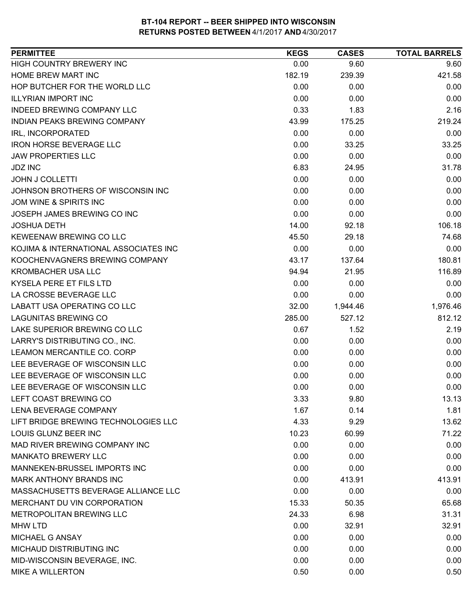| <b>PERMITTEE</b>                      | <b>KEGS</b> | <b>CASES</b> | <b>TOTAL BARRELS</b> |
|---------------------------------------|-------------|--------------|----------------------|
| HIGH COUNTRY BREWERY INC              | 0.00        | 9.60         | 9.60                 |
| HOME BREW MART INC                    | 182.19      | 239.39       | 421.58               |
| HOP BUTCHER FOR THE WORLD LLC         | 0.00        | 0.00         | 0.00                 |
| <b>ILLYRIAN IMPORT INC</b>            | 0.00        | 0.00         | 0.00                 |
| INDEED BREWING COMPANY LLC            | 0.33        | 1.83         | 2.16                 |
| INDIAN PEAKS BREWING COMPANY          | 43.99       | 175.25       | 219.24               |
| IRL, INCORPORATED                     | 0.00        | 0.00         | 0.00                 |
| <b>IRON HORSE BEVERAGE LLC</b>        | 0.00        | 33.25        | 33.25                |
| <b>JAW PROPERTIES LLC</b>             | 0.00        | 0.00         | 0.00                 |
| <b>JDZ INC</b>                        | 6.83        | 24.95        | 31.78                |
| <b>JOHN J COLLETTI</b>                | 0.00        | 0.00         | 0.00                 |
| JOHNSON BROTHERS OF WISCONSIN INC     | 0.00        | 0.00         | 0.00                 |
| JOM WINE & SPIRITS INC                | 0.00        | 0.00         | 0.00                 |
| JOSEPH JAMES BREWING CO INC           | 0.00        | 0.00         | 0.00                 |
| <b>JOSHUA DETH</b>                    | 14.00       | 92.18        | 106.18               |
| KEWEENAW BREWING CO LLC               | 45.50       | 29.18        | 74.68                |
| KOJIMA & INTERNATIONAL ASSOCIATES INC | 0.00        | 0.00         | 0.00                 |
| KOOCHENVAGNERS BREWING COMPANY        | 43.17       | 137.64       | 180.81               |
| <b>KROMBACHER USA LLC</b>             | 94.94       | 21.95        | 116.89               |
| KYSELA PERE ET FILS LTD               | 0.00        | 0.00         | 0.00                 |
| LA CROSSE BEVERAGE LLC                | 0.00        | 0.00         | 0.00                 |
| LABATT USA OPERATING CO LLC           | 32.00       | 1,944.46     | 1,976.46             |
| <b>LAGUNITAS BREWING CO</b>           | 285.00      | 527.12       | 812.12               |
| LAKE SUPERIOR BREWING CO LLC          | 0.67        | 1.52         | 2.19                 |
| LARRY'S DISTRIBUTING CO., INC.        | 0.00        | 0.00         | 0.00                 |
| LEAMON MERCANTILE CO. CORP            | 0.00        | 0.00         | 0.00                 |
| LEE BEVERAGE OF WISCONSIN LLC         | 0.00        | 0.00         | 0.00                 |
| LEE BEVERAGE OF WISCONSIN LLC         | 0.00        | 0.00         | 0.00                 |
| LEE BEVERAGE OF WISCONSIN LLC         | 0.00        | 0.00         | 0.00                 |
| LEFT COAST BREWING CO                 | 3.33        | 9.80         | 13.13                |
| LENA BEVERAGE COMPANY                 | 1.67        | 0.14         | 1.81                 |
| LIFT BRIDGE BREWING TECHNOLOGIES LLC  | 4.33        | 9.29         | 13.62                |
| LOUIS GLUNZ BEER INC                  | 10.23       | 60.99        | 71.22                |
| MAD RIVER BREWING COMPANY INC         | 0.00        | 0.00         | 0.00                 |
| <b>MANKATO BREWERY LLC</b>            | 0.00        | 0.00         | 0.00                 |
| MANNEKEN-BRUSSEL IMPORTS INC          | 0.00        | 0.00         | 0.00                 |
| MARK ANTHONY BRANDS INC               | 0.00        | 413.91       | 413.91               |
| MASSACHUSETTS BEVERAGE ALLIANCE LLC   | 0.00        | 0.00         | 0.00                 |
| MERCHANT DU VIN CORPORATION           | 15.33       | 50.35        | 65.68                |
| METROPOLITAN BREWING LLC              | 24.33       | 6.98         | 31.31                |
| <b>MHW LTD</b>                        | 0.00        | 32.91        | 32.91                |
| MICHAEL G ANSAY                       | 0.00        | 0.00         | 0.00                 |
| MICHAUD DISTRIBUTING INC              | 0.00        | 0.00         | 0.00                 |
| MID-WISCONSIN BEVERAGE, INC.          | 0.00        | 0.00         | 0.00                 |
| <b>MIKE A WILLERTON</b>               | 0.50        | 0.00         | 0.50                 |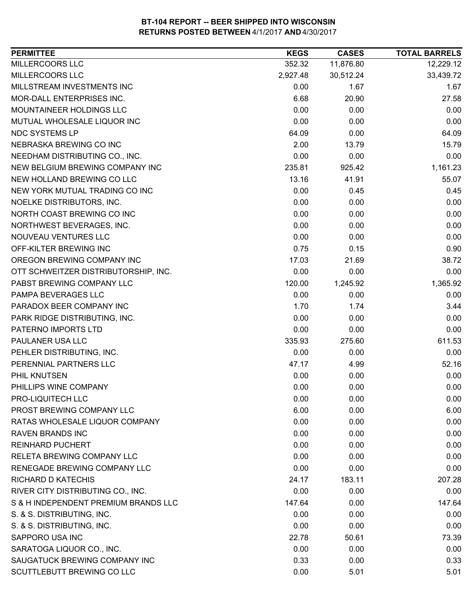| MILLERCOORS LLC<br>352.32<br>11,876.80<br>12,229.12<br>MILLERCOORS LLC<br>2,927.48<br>30,512.24<br>33,439.72<br>MILLSTREAM INVESTMENTS INC<br>0.00<br>1.67<br>1.67<br>MOR-DALL ENTERPRISES INC.<br>6.68<br>20.90<br>27.58<br>0.00<br>MOUNTAINEER HOLDINGS LLC<br>0.00<br>0.00<br>0.00<br>MUTUAL WHOLESALE LIQUOR INC<br>0.00<br>0.00<br><b>NDC SYSTEMS LP</b><br>64.09<br>0.00<br>64.09<br>NEBRASKA BREWING CO INC<br>2.00<br>13.79<br>15.79<br>0.00<br>NEEDHAM DISTRIBUTING CO., INC.<br>0.00<br>0.00<br>NEW BELGIUM BREWING COMPANY INC<br>235.81<br>1,161.23<br>925.42<br>NEW HOLLAND BREWING CO LLC<br>13.16<br>41.91<br>55.07<br>NEW YORK MUTUAL TRADING CO INC<br>0.00<br>0.45<br>0.45<br>0.00<br>NOELKE DISTRIBUTORS, INC.<br>0.00<br>0.00<br>NORTH COAST BREWING CO INC<br>0.00<br>0.00<br>0.00<br>NORTHWEST BEVERAGES, INC.<br>0.00<br>0.00<br>0.00<br>NOUVEAU VENTURES LLC<br>0.00<br>0.00<br>0.00<br>OFF-KILTER BREWING INC<br>0.75<br>0.15<br>0.90<br>OREGON BREWING COMPANY INC<br>17.03<br>38.72<br>21.69<br>OTT SCHWEITZER DISTRIBUTORSHIP, INC.<br>0.00<br>0.00<br>0.00<br>PABST BREWING COMPANY LLC<br>1,365.92<br>120.00<br>1,245.92<br>PAMPA BEVERAGES LLC<br>0.00<br>0.00<br>0.00<br>PARADOX BEER COMPANY INC<br>1.70<br>3.44<br>1.74<br>0.00<br>PARK RIDGE DISTRIBUTING, INC.<br>0.00<br>0.00<br>PATERNO IMPORTS LTD<br>0.00<br>0.00<br>0.00<br>PAULANER USA LLC<br>611.53<br>335.93<br>275.60<br>PEHLER DISTRIBUTING, INC.<br>0.00<br>0.00<br>0.00<br>PERENNIAL PARTNERS LLC<br>52.16<br>47.17<br>4.99<br>0.00<br>PHIL KNUTSEN<br>0.00<br>0.00<br>0.00<br>0.00<br>0.00<br>PHILLIPS WINE COMPANY<br>PRO-LIQUITECH LLC<br>0.00<br>0.00<br>0.00<br>PROST BREWING COMPANY LLC<br>6.00<br>0.00<br>6.00<br>RATAS WHOLESALE LIQUOR COMPANY<br>0.00<br>0.00<br>0.00<br>0.00<br><b>RAVEN BRANDS INC</b><br>0.00<br>0.00<br><b>REINHARD PUCHERT</b><br>0.00<br>0.00<br>0.00<br>RELETA BREWING COMPANY LLC<br>0.00<br>0.00<br>0.00<br>RENEGADE BREWING COMPANY LLC<br>0.00<br>0.00<br>0.00<br><b>RICHARD D KATECHIS</b><br>24.17<br>183.11<br>207.28<br>RIVER CITY DISTRIBUTING CO., INC.<br>0.00<br>0.00<br>0.00<br>S & H INDEPENDENT PREMIUM BRANDS LLC<br>147.64<br>0.00<br>147.64<br>S. & S. DISTRIBUTING, INC.<br>0.00<br>0.00<br>0.00<br>S. & S. DISTRIBUTING, INC.<br>0.00<br>0.00<br>0.00<br>SAPPORO USA INC<br>22.78<br>73.39<br>50.61<br>0.00<br>SARATOGA LIQUOR CO., INC.<br>0.00<br>0.00<br>SAUGATUCK BREWING COMPANY INC<br>0.33<br>0.33<br>0.00<br>SCUTTLEBUTT BREWING CO LLC<br>0.00<br>5.01 | <b>PERMITTEE</b> | <b>KEGS</b> | <b>CASES</b> | <b>TOTAL BARRELS</b> |
|------------------------------------------------------------------------------------------------------------------------------------------------------------------------------------------------------------------------------------------------------------------------------------------------------------------------------------------------------------------------------------------------------------------------------------------------------------------------------------------------------------------------------------------------------------------------------------------------------------------------------------------------------------------------------------------------------------------------------------------------------------------------------------------------------------------------------------------------------------------------------------------------------------------------------------------------------------------------------------------------------------------------------------------------------------------------------------------------------------------------------------------------------------------------------------------------------------------------------------------------------------------------------------------------------------------------------------------------------------------------------------------------------------------------------------------------------------------------------------------------------------------------------------------------------------------------------------------------------------------------------------------------------------------------------------------------------------------------------------------------------------------------------------------------------------------------------------------------------------------------------------------------------------------------------------------------------------------------------------------------------------------------------------------------------------------------------------------------------------------------------------------------------------------------------------------------------------------------------------------------------------------------------------------------------------------------------------------------------------------------------------------------------------------------------------------------------------------------------------------------------------------------|------------------|-------------|--------------|----------------------|
|                                                                                                                                                                                                                                                                                                                                                                                                                                                                                                                                                                                                                                                                                                                                                                                                                                                                                                                                                                                                                                                                                                                                                                                                                                                                                                                                                                                                                                                                                                                                                                                                                                                                                                                                                                                                                                                                                                                                                                                                                                                                                                                                                                                                                                                                                                                                                                                                                                                                                                                        |                  |             |              |                      |
|                                                                                                                                                                                                                                                                                                                                                                                                                                                                                                                                                                                                                                                                                                                                                                                                                                                                                                                                                                                                                                                                                                                                                                                                                                                                                                                                                                                                                                                                                                                                                                                                                                                                                                                                                                                                                                                                                                                                                                                                                                                                                                                                                                                                                                                                                                                                                                                                                                                                                                                        |                  |             |              |                      |
|                                                                                                                                                                                                                                                                                                                                                                                                                                                                                                                                                                                                                                                                                                                                                                                                                                                                                                                                                                                                                                                                                                                                                                                                                                                                                                                                                                                                                                                                                                                                                                                                                                                                                                                                                                                                                                                                                                                                                                                                                                                                                                                                                                                                                                                                                                                                                                                                                                                                                                                        |                  |             |              |                      |
|                                                                                                                                                                                                                                                                                                                                                                                                                                                                                                                                                                                                                                                                                                                                                                                                                                                                                                                                                                                                                                                                                                                                                                                                                                                                                                                                                                                                                                                                                                                                                                                                                                                                                                                                                                                                                                                                                                                                                                                                                                                                                                                                                                                                                                                                                                                                                                                                                                                                                                                        |                  |             |              |                      |
|                                                                                                                                                                                                                                                                                                                                                                                                                                                                                                                                                                                                                                                                                                                                                                                                                                                                                                                                                                                                                                                                                                                                                                                                                                                                                                                                                                                                                                                                                                                                                                                                                                                                                                                                                                                                                                                                                                                                                                                                                                                                                                                                                                                                                                                                                                                                                                                                                                                                                                                        |                  |             |              |                      |
|                                                                                                                                                                                                                                                                                                                                                                                                                                                                                                                                                                                                                                                                                                                                                                                                                                                                                                                                                                                                                                                                                                                                                                                                                                                                                                                                                                                                                                                                                                                                                                                                                                                                                                                                                                                                                                                                                                                                                                                                                                                                                                                                                                                                                                                                                                                                                                                                                                                                                                                        |                  |             |              |                      |
|                                                                                                                                                                                                                                                                                                                                                                                                                                                                                                                                                                                                                                                                                                                                                                                                                                                                                                                                                                                                                                                                                                                                                                                                                                                                                                                                                                                                                                                                                                                                                                                                                                                                                                                                                                                                                                                                                                                                                                                                                                                                                                                                                                                                                                                                                                                                                                                                                                                                                                                        |                  |             |              |                      |
|                                                                                                                                                                                                                                                                                                                                                                                                                                                                                                                                                                                                                                                                                                                                                                                                                                                                                                                                                                                                                                                                                                                                                                                                                                                                                                                                                                                                                                                                                                                                                                                                                                                                                                                                                                                                                                                                                                                                                                                                                                                                                                                                                                                                                                                                                                                                                                                                                                                                                                                        |                  |             |              |                      |
|                                                                                                                                                                                                                                                                                                                                                                                                                                                                                                                                                                                                                                                                                                                                                                                                                                                                                                                                                                                                                                                                                                                                                                                                                                                                                                                                                                                                                                                                                                                                                                                                                                                                                                                                                                                                                                                                                                                                                                                                                                                                                                                                                                                                                                                                                                                                                                                                                                                                                                                        |                  |             |              |                      |
|                                                                                                                                                                                                                                                                                                                                                                                                                                                                                                                                                                                                                                                                                                                                                                                                                                                                                                                                                                                                                                                                                                                                                                                                                                                                                                                                                                                                                                                                                                                                                                                                                                                                                                                                                                                                                                                                                                                                                                                                                                                                                                                                                                                                                                                                                                                                                                                                                                                                                                                        |                  |             |              |                      |
|                                                                                                                                                                                                                                                                                                                                                                                                                                                                                                                                                                                                                                                                                                                                                                                                                                                                                                                                                                                                                                                                                                                                                                                                                                                                                                                                                                                                                                                                                                                                                                                                                                                                                                                                                                                                                                                                                                                                                                                                                                                                                                                                                                                                                                                                                                                                                                                                                                                                                                                        |                  |             |              |                      |
|                                                                                                                                                                                                                                                                                                                                                                                                                                                                                                                                                                                                                                                                                                                                                                                                                                                                                                                                                                                                                                                                                                                                                                                                                                                                                                                                                                                                                                                                                                                                                                                                                                                                                                                                                                                                                                                                                                                                                                                                                                                                                                                                                                                                                                                                                                                                                                                                                                                                                                                        |                  |             |              |                      |
|                                                                                                                                                                                                                                                                                                                                                                                                                                                                                                                                                                                                                                                                                                                                                                                                                                                                                                                                                                                                                                                                                                                                                                                                                                                                                                                                                                                                                                                                                                                                                                                                                                                                                                                                                                                                                                                                                                                                                                                                                                                                                                                                                                                                                                                                                                                                                                                                                                                                                                                        |                  |             |              |                      |
|                                                                                                                                                                                                                                                                                                                                                                                                                                                                                                                                                                                                                                                                                                                                                                                                                                                                                                                                                                                                                                                                                                                                                                                                                                                                                                                                                                                                                                                                                                                                                                                                                                                                                                                                                                                                                                                                                                                                                                                                                                                                                                                                                                                                                                                                                                                                                                                                                                                                                                                        |                  |             |              |                      |
|                                                                                                                                                                                                                                                                                                                                                                                                                                                                                                                                                                                                                                                                                                                                                                                                                                                                                                                                                                                                                                                                                                                                                                                                                                                                                                                                                                                                                                                                                                                                                                                                                                                                                                                                                                                                                                                                                                                                                                                                                                                                                                                                                                                                                                                                                                                                                                                                                                                                                                                        |                  |             |              |                      |
|                                                                                                                                                                                                                                                                                                                                                                                                                                                                                                                                                                                                                                                                                                                                                                                                                                                                                                                                                                                                                                                                                                                                                                                                                                                                                                                                                                                                                                                                                                                                                                                                                                                                                                                                                                                                                                                                                                                                                                                                                                                                                                                                                                                                                                                                                                                                                                                                                                                                                                                        |                  |             |              |                      |
|                                                                                                                                                                                                                                                                                                                                                                                                                                                                                                                                                                                                                                                                                                                                                                                                                                                                                                                                                                                                                                                                                                                                                                                                                                                                                                                                                                                                                                                                                                                                                                                                                                                                                                                                                                                                                                                                                                                                                                                                                                                                                                                                                                                                                                                                                                                                                                                                                                                                                                                        |                  |             |              |                      |
|                                                                                                                                                                                                                                                                                                                                                                                                                                                                                                                                                                                                                                                                                                                                                                                                                                                                                                                                                                                                                                                                                                                                                                                                                                                                                                                                                                                                                                                                                                                                                                                                                                                                                                                                                                                                                                                                                                                                                                                                                                                                                                                                                                                                                                                                                                                                                                                                                                                                                                                        |                  |             |              |                      |
|                                                                                                                                                                                                                                                                                                                                                                                                                                                                                                                                                                                                                                                                                                                                                                                                                                                                                                                                                                                                                                                                                                                                                                                                                                                                                                                                                                                                                                                                                                                                                                                                                                                                                                                                                                                                                                                                                                                                                                                                                                                                                                                                                                                                                                                                                                                                                                                                                                                                                                                        |                  |             |              |                      |
|                                                                                                                                                                                                                                                                                                                                                                                                                                                                                                                                                                                                                                                                                                                                                                                                                                                                                                                                                                                                                                                                                                                                                                                                                                                                                                                                                                                                                                                                                                                                                                                                                                                                                                                                                                                                                                                                                                                                                                                                                                                                                                                                                                                                                                                                                                                                                                                                                                                                                                                        |                  |             |              |                      |
|                                                                                                                                                                                                                                                                                                                                                                                                                                                                                                                                                                                                                                                                                                                                                                                                                                                                                                                                                                                                                                                                                                                                                                                                                                                                                                                                                                                                                                                                                                                                                                                                                                                                                                                                                                                                                                                                                                                                                                                                                                                                                                                                                                                                                                                                                                                                                                                                                                                                                                                        |                  |             |              |                      |
|                                                                                                                                                                                                                                                                                                                                                                                                                                                                                                                                                                                                                                                                                                                                                                                                                                                                                                                                                                                                                                                                                                                                                                                                                                                                                                                                                                                                                                                                                                                                                                                                                                                                                                                                                                                                                                                                                                                                                                                                                                                                                                                                                                                                                                                                                                                                                                                                                                                                                                                        |                  |             |              |                      |
|                                                                                                                                                                                                                                                                                                                                                                                                                                                                                                                                                                                                                                                                                                                                                                                                                                                                                                                                                                                                                                                                                                                                                                                                                                                                                                                                                                                                                                                                                                                                                                                                                                                                                                                                                                                                                                                                                                                                                                                                                                                                                                                                                                                                                                                                                                                                                                                                                                                                                                                        |                  |             |              |                      |
|                                                                                                                                                                                                                                                                                                                                                                                                                                                                                                                                                                                                                                                                                                                                                                                                                                                                                                                                                                                                                                                                                                                                                                                                                                                                                                                                                                                                                                                                                                                                                                                                                                                                                                                                                                                                                                                                                                                                                                                                                                                                                                                                                                                                                                                                                                                                                                                                                                                                                                                        |                  |             |              |                      |
|                                                                                                                                                                                                                                                                                                                                                                                                                                                                                                                                                                                                                                                                                                                                                                                                                                                                                                                                                                                                                                                                                                                                                                                                                                                                                                                                                                                                                                                                                                                                                                                                                                                                                                                                                                                                                                                                                                                                                                                                                                                                                                                                                                                                                                                                                                                                                                                                                                                                                                                        |                  |             |              |                      |
|                                                                                                                                                                                                                                                                                                                                                                                                                                                                                                                                                                                                                                                                                                                                                                                                                                                                                                                                                                                                                                                                                                                                                                                                                                                                                                                                                                                                                                                                                                                                                                                                                                                                                                                                                                                                                                                                                                                                                                                                                                                                                                                                                                                                                                                                                                                                                                                                                                                                                                                        |                  |             |              |                      |
|                                                                                                                                                                                                                                                                                                                                                                                                                                                                                                                                                                                                                                                                                                                                                                                                                                                                                                                                                                                                                                                                                                                                                                                                                                                                                                                                                                                                                                                                                                                                                                                                                                                                                                                                                                                                                                                                                                                                                                                                                                                                                                                                                                                                                                                                                                                                                                                                                                                                                                                        |                  |             |              |                      |
|                                                                                                                                                                                                                                                                                                                                                                                                                                                                                                                                                                                                                                                                                                                                                                                                                                                                                                                                                                                                                                                                                                                                                                                                                                                                                                                                                                                                                                                                                                                                                                                                                                                                                                                                                                                                                                                                                                                                                                                                                                                                                                                                                                                                                                                                                                                                                                                                                                                                                                                        |                  |             |              |                      |
|                                                                                                                                                                                                                                                                                                                                                                                                                                                                                                                                                                                                                                                                                                                                                                                                                                                                                                                                                                                                                                                                                                                                                                                                                                                                                                                                                                                                                                                                                                                                                                                                                                                                                                                                                                                                                                                                                                                                                                                                                                                                                                                                                                                                                                                                                                                                                                                                                                                                                                                        |                  |             |              |                      |
|                                                                                                                                                                                                                                                                                                                                                                                                                                                                                                                                                                                                                                                                                                                                                                                                                                                                                                                                                                                                                                                                                                                                                                                                                                                                                                                                                                                                                                                                                                                                                                                                                                                                                                                                                                                                                                                                                                                                                                                                                                                                                                                                                                                                                                                                                                                                                                                                                                                                                                                        |                  |             |              |                      |
|                                                                                                                                                                                                                                                                                                                                                                                                                                                                                                                                                                                                                                                                                                                                                                                                                                                                                                                                                                                                                                                                                                                                                                                                                                                                                                                                                                                                                                                                                                                                                                                                                                                                                                                                                                                                                                                                                                                                                                                                                                                                                                                                                                                                                                                                                                                                                                                                                                                                                                                        |                  |             |              |                      |
|                                                                                                                                                                                                                                                                                                                                                                                                                                                                                                                                                                                                                                                                                                                                                                                                                                                                                                                                                                                                                                                                                                                                                                                                                                                                                                                                                                                                                                                                                                                                                                                                                                                                                                                                                                                                                                                                                                                                                                                                                                                                                                                                                                                                                                                                                                                                                                                                                                                                                                                        |                  |             |              |                      |
|                                                                                                                                                                                                                                                                                                                                                                                                                                                                                                                                                                                                                                                                                                                                                                                                                                                                                                                                                                                                                                                                                                                                                                                                                                                                                                                                                                                                                                                                                                                                                                                                                                                                                                                                                                                                                                                                                                                                                                                                                                                                                                                                                                                                                                                                                                                                                                                                                                                                                                                        |                  |             |              |                      |
|                                                                                                                                                                                                                                                                                                                                                                                                                                                                                                                                                                                                                                                                                                                                                                                                                                                                                                                                                                                                                                                                                                                                                                                                                                                                                                                                                                                                                                                                                                                                                                                                                                                                                                                                                                                                                                                                                                                                                                                                                                                                                                                                                                                                                                                                                                                                                                                                                                                                                                                        |                  |             |              |                      |
|                                                                                                                                                                                                                                                                                                                                                                                                                                                                                                                                                                                                                                                                                                                                                                                                                                                                                                                                                                                                                                                                                                                                                                                                                                                                                                                                                                                                                                                                                                                                                                                                                                                                                                                                                                                                                                                                                                                                                                                                                                                                                                                                                                                                                                                                                                                                                                                                                                                                                                                        |                  |             |              |                      |
|                                                                                                                                                                                                                                                                                                                                                                                                                                                                                                                                                                                                                                                                                                                                                                                                                                                                                                                                                                                                                                                                                                                                                                                                                                                                                                                                                                                                                                                                                                                                                                                                                                                                                                                                                                                                                                                                                                                                                                                                                                                                                                                                                                                                                                                                                                                                                                                                                                                                                                                        |                  |             |              |                      |
|                                                                                                                                                                                                                                                                                                                                                                                                                                                                                                                                                                                                                                                                                                                                                                                                                                                                                                                                                                                                                                                                                                                                                                                                                                                                                                                                                                                                                                                                                                                                                                                                                                                                                                                                                                                                                                                                                                                                                                                                                                                                                                                                                                                                                                                                                                                                                                                                                                                                                                                        |                  |             |              |                      |
|                                                                                                                                                                                                                                                                                                                                                                                                                                                                                                                                                                                                                                                                                                                                                                                                                                                                                                                                                                                                                                                                                                                                                                                                                                                                                                                                                                                                                                                                                                                                                                                                                                                                                                                                                                                                                                                                                                                                                                                                                                                                                                                                                                                                                                                                                                                                                                                                                                                                                                                        |                  |             |              |                      |
|                                                                                                                                                                                                                                                                                                                                                                                                                                                                                                                                                                                                                                                                                                                                                                                                                                                                                                                                                                                                                                                                                                                                                                                                                                                                                                                                                                                                                                                                                                                                                                                                                                                                                                                                                                                                                                                                                                                                                                                                                                                                                                                                                                                                                                                                                                                                                                                                                                                                                                                        |                  |             |              |                      |
|                                                                                                                                                                                                                                                                                                                                                                                                                                                                                                                                                                                                                                                                                                                                                                                                                                                                                                                                                                                                                                                                                                                                                                                                                                                                                                                                                                                                                                                                                                                                                                                                                                                                                                                                                                                                                                                                                                                                                                                                                                                                                                                                                                                                                                                                                                                                                                                                                                                                                                                        |                  |             |              |                      |
|                                                                                                                                                                                                                                                                                                                                                                                                                                                                                                                                                                                                                                                                                                                                                                                                                                                                                                                                                                                                                                                                                                                                                                                                                                                                                                                                                                                                                                                                                                                                                                                                                                                                                                                                                                                                                                                                                                                                                                                                                                                                                                                                                                                                                                                                                                                                                                                                                                                                                                                        |                  |             |              |                      |
|                                                                                                                                                                                                                                                                                                                                                                                                                                                                                                                                                                                                                                                                                                                                                                                                                                                                                                                                                                                                                                                                                                                                                                                                                                                                                                                                                                                                                                                                                                                                                                                                                                                                                                                                                                                                                                                                                                                                                                                                                                                                                                                                                                                                                                                                                                                                                                                                                                                                                                                        |                  |             |              |                      |
|                                                                                                                                                                                                                                                                                                                                                                                                                                                                                                                                                                                                                                                                                                                                                                                                                                                                                                                                                                                                                                                                                                                                                                                                                                                                                                                                                                                                                                                                                                                                                                                                                                                                                                                                                                                                                                                                                                                                                                                                                                                                                                                                                                                                                                                                                                                                                                                                                                                                                                                        |                  |             |              |                      |
|                                                                                                                                                                                                                                                                                                                                                                                                                                                                                                                                                                                                                                                                                                                                                                                                                                                                                                                                                                                                                                                                                                                                                                                                                                                                                                                                                                                                                                                                                                                                                                                                                                                                                                                                                                                                                                                                                                                                                                                                                                                                                                                                                                                                                                                                                                                                                                                                                                                                                                                        |                  |             |              |                      |
|                                                                                                                                                                                                                                                                                                                                                                                                                                                                                                                                                                                                                                                                                                                                                                                                                                                                                                                                                                                                                                                                                                                                                                                                                                                                                                                                                                                                                                                                                                                                                                                                                                                                                                                                                                                                                                                                                                                                                                                                                                                                                                                                                                                                                                                                                                                                                                                                                                                                                                                        |                  |             | 5.01         |                      |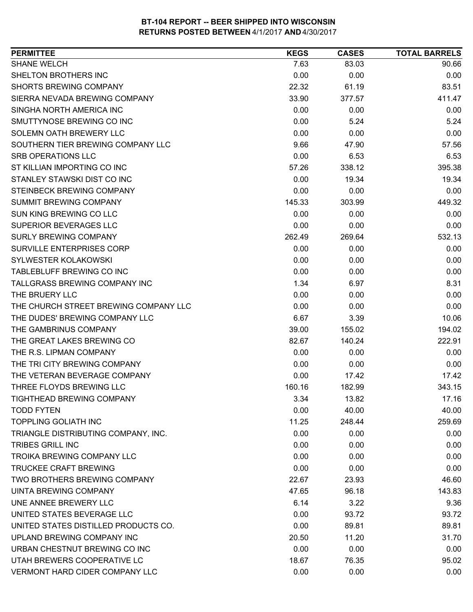| <b>PERMITTEE</b>                      | <b>KEGS</b> | <b>CASES</b> | <b>TOTAL BARRELS</b> |
|---------------------------------------|-------------|--------------|----------------------|
| <b>SHANE WELCH</b>                    | 7.63        | 83.03        | 90.66                |
| SHELTON BROTHERS INC                  | 0.00        | 0.00         | 0.00                 |
| <b>SHORTS BREWING COMPANY</b>         | 22.32       | 61.19        | 83.51                |
| SIERRA NEVADA BREWING COMPANY         | 33.90       | 377.57       | 411.47               |
| SINGHA NORTH AMERICA INC              | 0.00        | 0.00         | 0.00                 |
| SMUTTYNOSE BREWING CO INC             | 0.00        | 5.24         | 5.24                 |
| SOLEMN OATH BREWERY LLC               | 0.00        | 0.00         | 0.00                 |
| SOUTHERN TIER BREWING COMPANY LLC     | 9.66        | 47.90        | 57.56                |
| <b>SRB OPERATIONS LLC</b>             | 0.00        | 6.53         | 6.53                 |
| ST KILLIAN IMPORTING CO INC           | 57.26       | 338.12       | 395.38               |
| STANLEY STAWSKI DIST CO INC           | 0.00        | 19.34        | 19.34                |
| STEINBECK BREWING COMPANY             | 0.00        | 0.00         | 0.00                 |
| <b>SUMMIT BREWING COMPANY</b>         | 145.33      | 303.99       | 449.32               |
| SUN KING BREWING CO LLC               | 0.00        | 0.00         | 0.00                 |
| SUPERIOR BEVERAGES LLC                | 0.00        | 0.00         | 0.00                 |
| <b>SURLY BREWING COMPANY</b>          | 262.49      | 269.64       | 532.13               |
| SURVILLE ENTERPRISES CORP             | 0.00        | 0.00         | 0.00                 |
| SYLWESTER KOLAKOWSKI                  | 0.00        | 0.00         | 0.00                 |
| TABLEBLUFF BREWING CO INC             | 0.00        | 0.00         | 0.00                 |
| TALLGRASS BREWING COMPANY INC         | 1.34        | 6.97         | 8.31                 |
| THE BRUERY LLC                        | 0.00        | 0.00         | 0.00                 |
| THE CHURCH STREET BREWING COMPANY LLC | 0.00        | 0.00         | 0.00                 |
| THE DUDES' BREWING COMPANY LLC        | 6.67        | 3.39         | 10.06                |
| THE GAMBRINUS COMPANY                 | 39.00       | 155.02       | 194.02               |
| THE GREAT LAKES BREWING CO            | 82.67       | 140.24       | 222.91               |
| THE R.S. LIPMAN COMPANY               | 0.00        | 0.00         | 0.00                 |
| THE TRI CITY BREWING COMPANY          | 0.00        | 0.00         | 0.00                 |
| THE VETERAN BEVERAGE COMPANY          | 0.00        | 17.42        | 17.42                |
| THREE FLOYDS BREWING LLC              | 160.16      | 182.99       | 343.15               |
| TIGHTHEAD BREWING COMPANY             | 3.34        | 13.82        | 17.16                |
| <b>TODD FYTEN</b>                     | 0.00        | 40.00        | 40.00                |
| <b>TOPPLING GOLIATH INC</b>           | 11.25       | 248.44       | 259.69               |
| TRIANGLE DISTRIBUTING COMPANY, INC.   | 0.00        | 0.00         | 0.00                 |
| <b>TRIBES GRILL INC</b>               | 0.00        | 0.00         | 0.00                 |
| TROIKA BREWING COMPANY LLC            | 0.00        | 0.00         | 0.00                 |
| <b>TRUCKEE CRAFT BREWING</b>          | 0.00        | 0.00         | 0.00                 |
| TWO BROTHERS BREWING COMPANY          | 22.67       | 23.93        | 46.60                |
| UINTA BREWING COMPANY                 | 47.65       | 96.18        | 143.83               |
| UNE ANNEE BREWERY LLC                 | 6.14        | 3.22         | 9.36                 |
| UNITED STATES BEVERAGE LLC            | 0.00        | 93.72        | 93.72                |
| UNITED STATES DISTILLED PRODUCTS CO.  | 0.00        | 89.81        | 89.81                |
| UPLAND BREWING COMPANY INC            | 20.50       | 11.20        | 31.70                |
| URBAN CHESTNUT BREWING CO INC         | 0.00        | 0.00         | 0.00                 |
| UTAH BREWERS COOPERATIVE LC           | 18.67       | 76.35        | 95.02                |
| <b>VERMONT HARD CIDER COMPANY LLC</b> | 0.00        | 0.00         | 0.00                 |